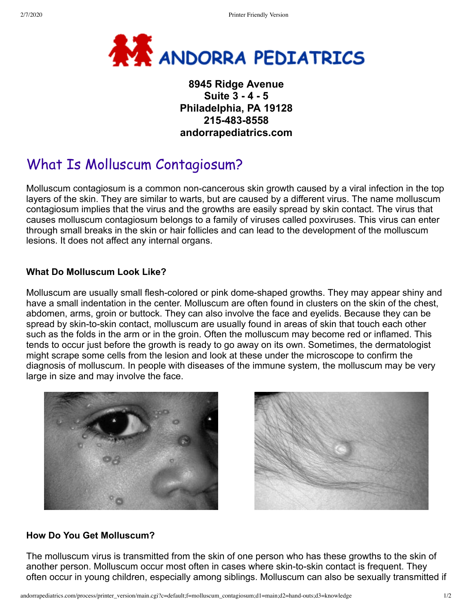

# **8945 Ridge Avenue Suite 3 - 4 - 5 Philadelphia, PA 19128 215-483-8558 andorrapediatrics.com**

# What Is Molluscum Contagiosum?

Molluscum contagiosum is a common non-cancerous skin growth caused by a viral infection in the top layers of the skin. They are similar to warts, but are caused by a different virus. The name molluscum contagiosum implies that the virus and the growths are easily spread by skin contact. The virus that causes molluscum contagiosum belongs to a family of viruses called poxviruses. This virus can enter through small breaks in the skin or hair follicles and can lead to the development of the molluscum lesions. It does not affect any internal organs.

## **What Do Molluscum Look Like?**

Molluscum are usually small flesh-colored or pink dome-shaped growths. They may appear shiny and have a small indentation in the center. Molluscum are often found in clusters on the skin of the chest, abdomen, arms, groin or buttock. They can also involve the face and eyelids. Because they can be spread by skin-to-skin contact, molluscum are usually found in areas of skin that touch each other such as the folds in the arm or in the groin. Often the molluscum may become red or inflamed. This tends to occur just before the growth is ready to go away on its own. Sometimes, the dermatologist might scrape some cells from the lesion and look at these under the microscope to confirm the diagnosis of molluscum. In people with diseases of the immune system, the molluscum may be very large in size and may involve the face.





# **How Do You Get Molluscum?**

The molluscum virus is transmitted from the skin of one person who has these growths to the skin of another person. Molluscum occur most often in cases where skin-to-skin contact is frequent. They often occur in young children, especially among siblings. Molluscum can also be sexually transmitted if